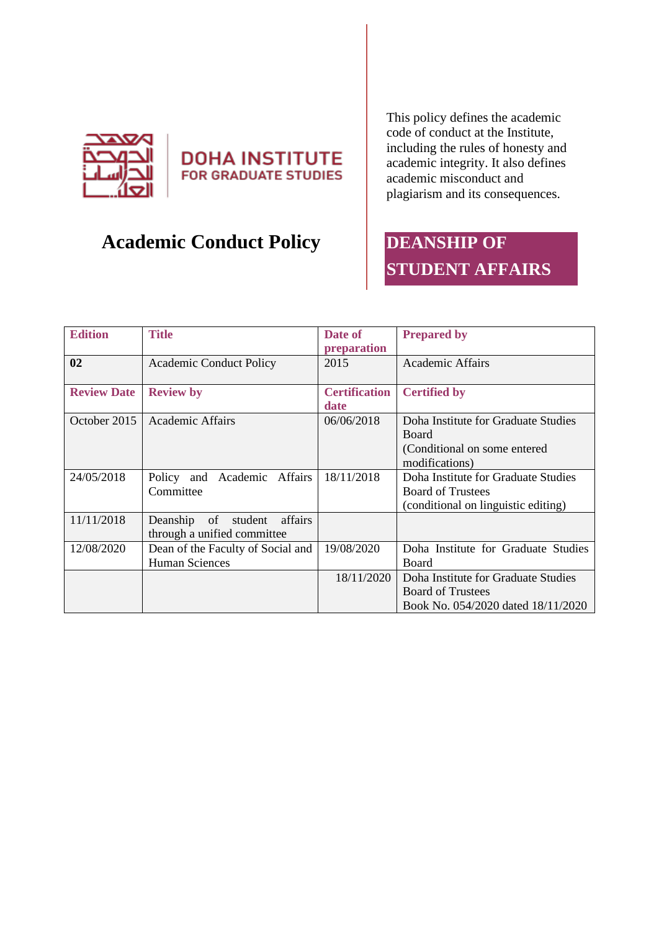



# **Academic Conduct Policy**

This policy defines the academic code of conduct at the Institute, including the rules of honesty and academic integrity. It also defines academic misconduct and plagiarism and its consequences.

# **DEANSHIP OF STUDENT AFFAIRS**

| <b>Edition</b>     | <b>Title</b>                                                     | Date of<br>preparation       | <b>Prepared by</b>                                                                                     |
|--------------------|------------------------------------------------------------------|------------------------------|--------------------------------------------------------------------------------------------------------|
| 02                 | <b>Academic Conduct Policy</b>                                   | 2015                         | <b>Academic Affairs</b>                                                                                |
| <b>Review Date</b> | <b>Review by</b>                                                 | <b>Certification</b><br>date | <b>Certified by</b>                                                                                    |
| October 2015       | Academic Affairs                                                 | 06/06/2018                   | Doha Institute for Graduate Studies<br><b>Board</b><br>(Conditional on some entered<br>modifications)  |
| 24/05/2018         | Policy and Academic Affairs<br>Committee                         | 18/11/2018                   | Doha Institute for Graduate Studies<br><b>Board of Trustees</b><br>(conditional on linguistic editing) |
| 11/11/2018         | student affairs<br>Deanship<br>of<br>through a unified committee |                              |                                                                                                        |
| 12/08/2020         | Dean of the Faculty of Social and<br><b>Human Sciences</b>       | 19/08/2020                   | Doha Institute for Graduate Studies<br>Board                                                           |
|                    |                                                                  | 18/11/2020                   | Doha Institute for Graduate Studies<br><b>Board of Trustees</b><br>Book No. 054/2020 dated 18/11/2020  |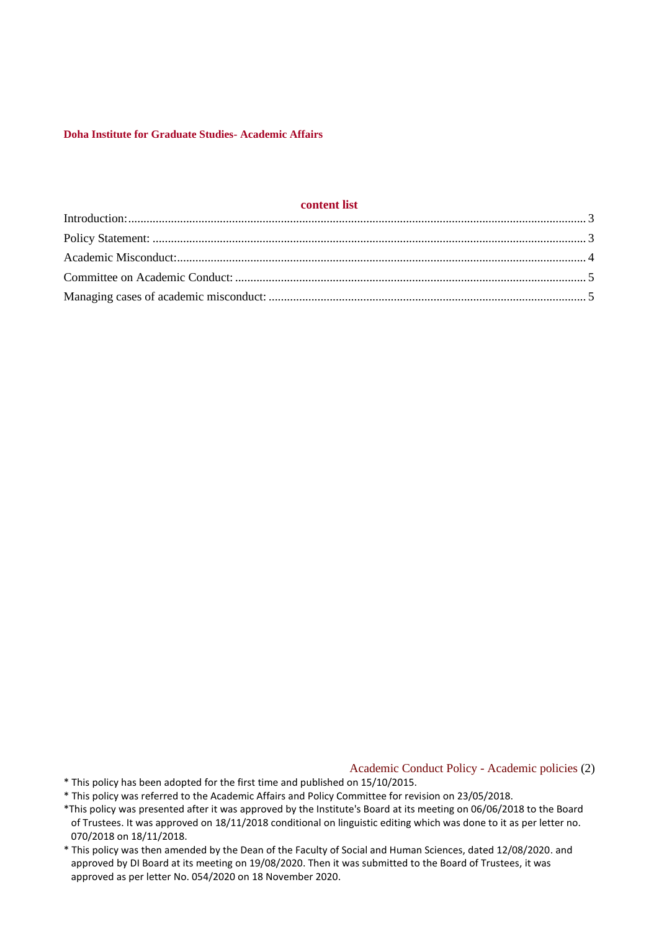### **content list**

Academic Conduct Policy - Academic policies (2)

- \* This policy has been adopted for the first time and published on 15/10/2015.
- \* This policy was referred to the Academic Affairs and Policy Committee for revision on 23/05/2018.
- \*This policy was presented after it was approved by the Institute's Board at its meeting on 06/06/2018 to the Board of Trustees. It was approved on 18/11/2018 conditional on linguistic editing which was done to it as per letter no. 070/2018 on 18/11/2018.
- \* This policy was then amended by the Dean of the Faculty of Social and Human Sciences, dated 12/08/2020. and approved by DI Board at its meeting on 19/08/2020. Then it was submitted to the Board of Trustees, it was approved as per letter No. 054/2020 on 18 November 2020.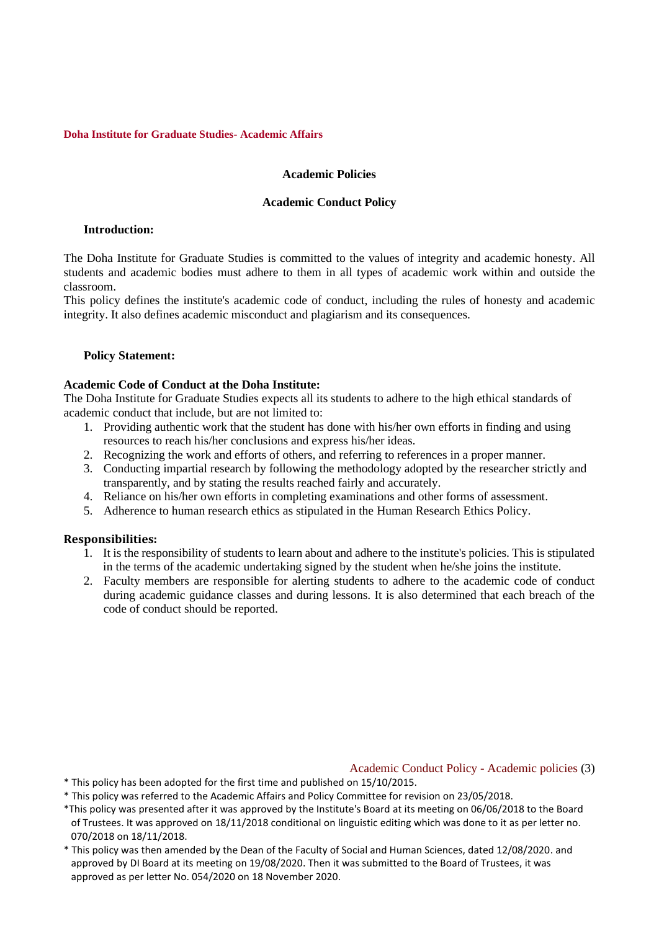# **Academic Policies**

## **Academic Conduct Policy**

## <span id="page-2-0"></span>**Introduction:**

The Doha Institute for Graduate Studies is committed to the values of integrity and academic honesty. All students and academic bodies must adhere to them in all types of academic work within and outside the classroom.

This policy defines the institute's academic code of conduct, including the rules of honesty and academic integrity. It also defines academic misconduct and plagiarism and its consequences.

# <span id="page-2-1"></span>**Policy Statement:**

## **Academic Code of Conduct at the Doha Institute:**

The Doha Institute for Graduate Studies expects all its students to adhere to the high ethical standards of academic conduct that include, but are not limited to:

- 1. Providing authentic work that the student has done with his/her own efforts in finding and using resources to reach his/her conclusions and express his/her ideas.
- 2. Recognizing the work and efforts of others, and referring to references in a proper manner.
- 3. Conducting impartial research by following the methodology adopted by the researcher strictly and transparently, and by stating the results reached fairly and accurately.
- 4. Reliance on his/her own efforts in completing examinations and other forms of assessment.
- 5. Adherence to human research ethics as stipulated in the Human Research Ethics Policy.

# **Responsibilities:**

- 1. It is the responsibility of students to learn about and adhere to the institute's policies. This is stipulated in the terms of the academic undertaking signed by the student when he/she joins the institute.
- 2. Faculty members are responsible for alerting students to adhere to the academic code of conduct during academic guidance classes and during lessons. It is also determined that each breach of the code of conduct should be reported.

Academic Conduct Policy - Academic policies (3)

- \* This policy has been adopted for the first time and published on 15/10/2015.
- \* This policy was referred to the Academic Affairs and Policy Committee for revision on 23/05/2018.
- \*This policy was presented after it was approved by the Institute's Board at its meeting on 06/06/2018 to the Board of Trustees. It was approved on 18/11/2018 conditional on linguistic editing which was done to it as per letter no. 070/2018 on 18/11/2018.
- \* This policy was then amended by the Dean of the Faculty of Social and Human Sciences, dated 12/08/2020. and approved by DI Board at its meeting on 19/08/2020. Then it was submitted to the Board of Trustees, it was approved as per letter No. 054/2020 on 18 November 2020.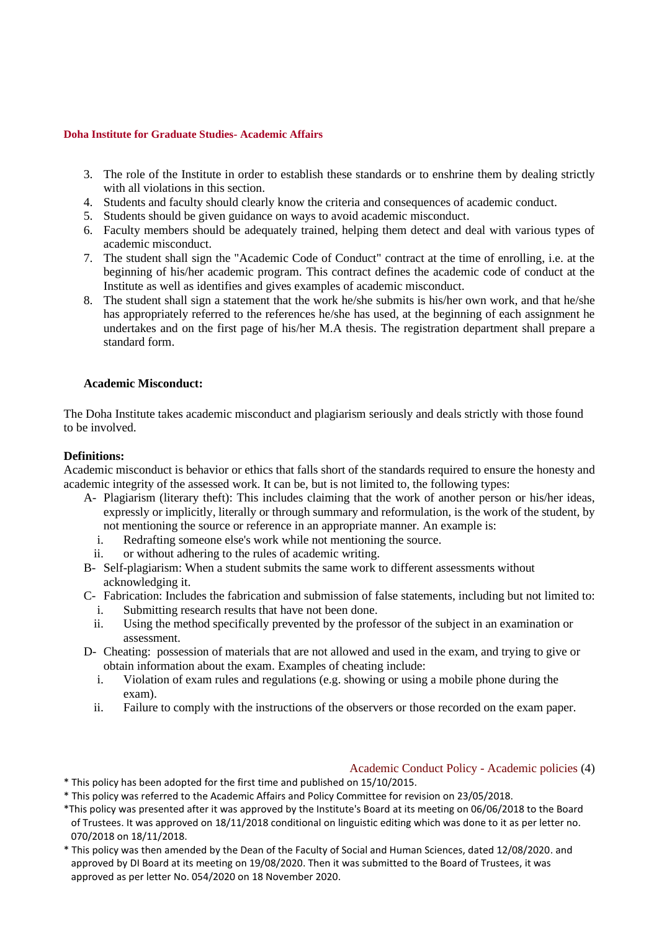- 3. The role of the Institute in order to establish these standards or to enshrine them by dealing strictly with all violations in this section.
- 4. Students and faculty should clearly know the criteria and consequences of academic conduct.
- 5. Students should be given guidance on ways to avoid academic misconduct.
- 6. Faculty members should be adequately trained, helping them detect and deal with various types of academic misconduct.
- 7. The student shall sign the "Academic Code of Conduct" contract at the time of enrolling, i.e. at the beginning of his/her academic program. This contract defines the academic code of conduct at the Institute as well as identifies and gives examples of academic misconduct.
- 8. The student shall sign a statement that the work he/she submits is his/her own work, and that he/she has appropriately referred to the references he/she has used, at the beginning of each assignment he undertakes and on the first page of his/her M.A thesis. The registration department shall prepare a standard form.

## <span id="page-3-0"></span>**Academic Misconduct:**

The Doha Institute takes academic misconduct and plagiarism seriously and deals strictly with those found to be involved.

## **Definitions:**

Academic misconduct is behavior or ethics that falls short of the standards required to ensure the honesty and academic integrity of the assessed work. It can be, but is not limited to, the following types:

- A- Plagiarism (literary theft): This includes claiming that the work of another person or his/her ideas, expressly or implicitly, literally or through summary and reformulation, is the work of the student, by not mentioning the source or reference in an appropriate manner. An example is:
	- i. Redrafting someone else's work while not mentioning the source.
	- ii. or without adhering to the rules of academic writing.
- B- Self-plagiarism: When a student submits the same work to different assessments without acknowledging it.
- C- Fabrication: Includes the fabrication and submission of false statements, including but not limited to:
	- i. Submitting research results that have not been done.
	- ii. Using the method specifically prevented by the professor of the subject in an examination or assessment.
- D- Cheating: possession of materials that are not allowed and used in the exam, and trying to give or obtain information about the exam. Examples of cheating include:
	- i. Violation of exam rules and regulations (e.g. showing or using a mobile phone during the exam).
	- ii. Failure to comply with the instructions of the observers or those recorded on the exam paper.

#### Academic Conduct Policy - Academic policies (4)

- \* This policy has been adopted for the first time and published on 15/10/2015.
- \* This policy was referred to the Academic Affairs and Policy Committee for revision on 23/05/2018.
- \*This policy was presented after it was approved by the Institute's Board at its meeting on 06/06/2018 to the Board of Trustees. It was approved on 18/11/2018 conditional on linguistic editing which was done to it as per letter no. 070/2018 on 18/11/2018.
- \* This policy was then amended by the Dean of the Faculty of Social and Human Sciences, dated 12/08/2020. and approved by DI Board at its meeting on 19/08/2020. Then it was submitted to the Board of Trustees, it was approved as per letter No. 054/2020 on 18 November 2020.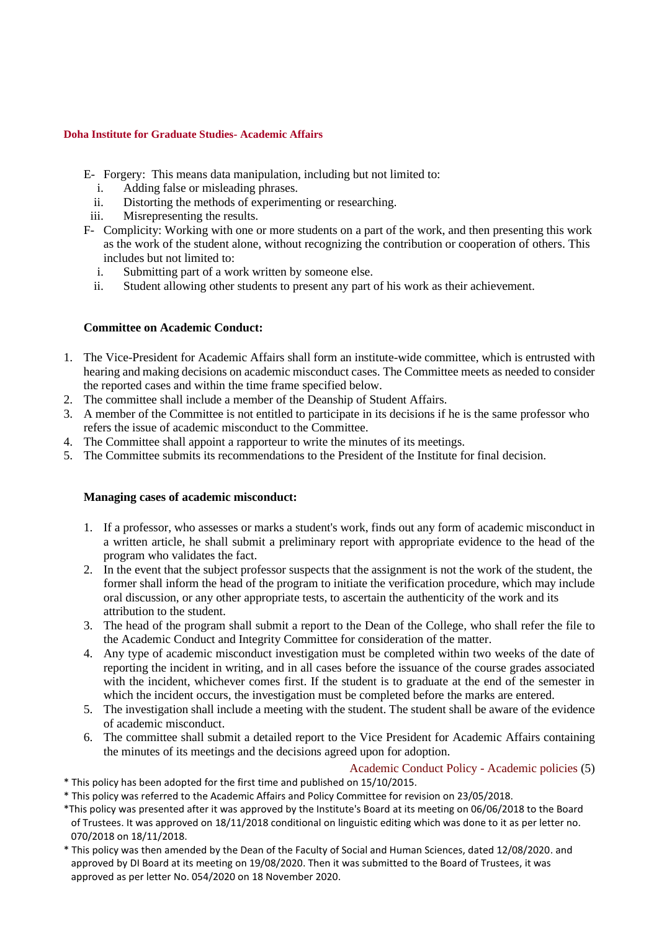- E- Forgery: This means data manipulation, including but not limited to:
	- i. Adding false or misleading phrases.
	- ii. Distorting the methods of experimenting or researching.
- iii. Misrepresenting the results.
- F- Complicity: Working with one or more students on a part of the work, and then presenting this work as the work of the student alone, without recognizing the contribution or cooperation of others. This includes but not limited to:
	- i. Submitting part of a work written by someone else.
	- ii. Student allowing other students to present any part of his work as their achievement.

# <span id="page-4-0"></span>**Committee on Academic Conduct:**

- 1. The Vice-President for Academic Affairs shall form an institute-wide committee, which is entrusted with hearing and making decisions on academic misconduct cases. The Committee meets as needed to consider the reported cases and within the time frame specified below.
- 2. The committee shall include a member of the Deanship of Student Affairs.
- 3. A member of the Committee is not entitled to participate in its decisions if he is the same professor who refers the issue of academic misconduct to the Committee.
- 4. The Committee shall appoint a rapporteur to write the minutes of its meetings.
- <span id="page-4-1"></span>5. The Committee submits its recommendations to the President of the Institute for final decision.

# **Managing cases of academic misconduct:**

- 1. If a professor, who assesses or marks a student's work, finds out any form of academic misconduct in a written article, he shall submit a preliminary report with appropriate evidence to the head of the program who validates the fact.
- 2. In the event that the subject professor suspects that the assignment is not the work of the student, the former shall inform the head of the program to initiate the verification procedure, which may include oral discussion, or any other appropriate tests, to ascertain the authenticity of the work and its attribution to the student.
- 3. The head of the program shall submit a report to the Dean of the College, who shall refer the file to the Academic Conduct and Integrity Committee for consideration of the matter.
- 4. Any type of academic misconduct investigation must be completed within two weeks of the date of reporting the incident in writing, and in all cases before the issuance of the course grades associated with the incident, whichever comes first. If the student is to graduate at the end of the semester in which the incident occurs, the investigation must be completed before the marks are entered.
- 5. The investigation shall include a meeting with the student. The student shall be aware of the evidence of academic misconduct.
- 6. The committee shall submit a detailed report to the Vice President for Academic Affairs containing the minutes of its meetings and the decisions agreed upon for adoption.

Academic Conduct Policy - Academic policies (5)

- \* This policy has been adopted for the first time and published on 15/10/2015.
- \* This policy was referred to the Academic Affairs and Policy Committee for revision on 23/05/2018.
- \*This policy was presented after it was approved by the Institute's Board at its meeting on 06/06/2018 to the Board of Trustees. It was approved on 18/11/2018 conditional on linguistic editing which was done to it as per letter no. 070/2018 on 18/11/2018.
- \* This policy was then amended by the Dean of the Faculty of Social and Human Sciences, dated 12/08/2020. and approved by DI Board at its meeting on 19/08/2020. Then it was submitted to the Board of Trustees, it was approved as per letter No. 054/2020 on 18 November 2020.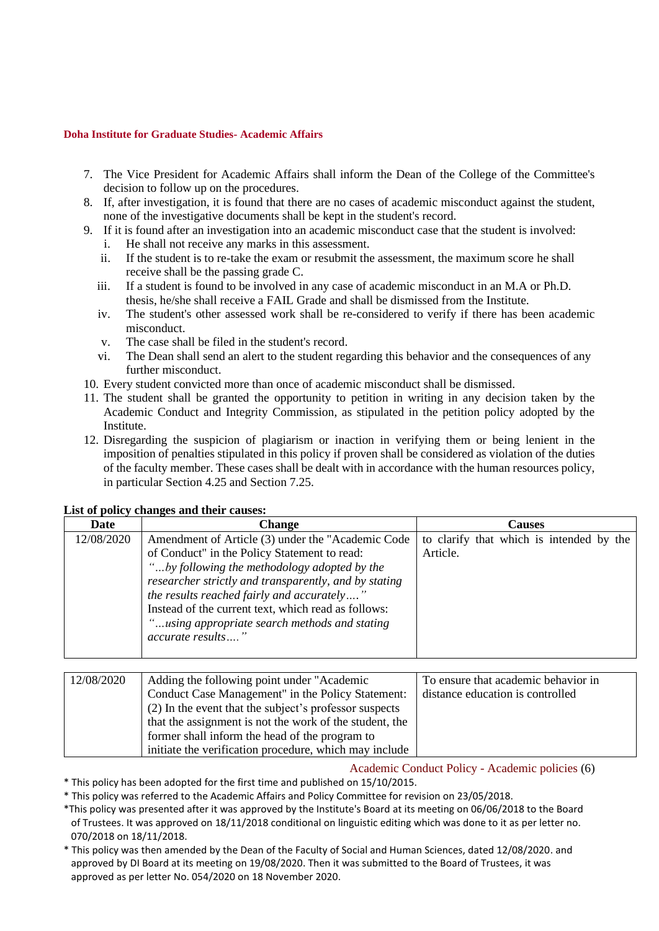- 7. The Vice President for Academic Affairs shall inform the Dean of the College of the Committee's decision to follow up on the procedures.
- 8. If, after investigation, it is found that there are no cases of academic misconduct against the student, none of the investigative documents shall be kept in the student's record.
- 9. If it is found after an investigation into an academic misconduct case that the student is involved: i. He shall not receive any marks in this assessment.
	- ii. If the student is to re-take the exam or resubmit the assessment, the maximum score he shall receive shall be the passing grade C.
	- iii. If a student is found to be involved in any case of academic misconduct in an M.A or Ph.D. thesis, he/she shall receive a FAIL Grade and shall be dismissed from the Institute.
	- iv. The student's other assessed work shall be re-considered to verify if there has been academic misconduct.
	- v. The case shall be filed in the student's record.
	- vi. The Dean shall send an alert to the student regarding this behavior and the consequences of any further misconduct.
- 10. Every student convicted more than once of academic misconduct shall be dismissed.
- 11. The student shall be granted the opportunity to petition in writing in any decision taken by the Academic Conduct and Integrity Commission, as stipulated in the petition policy adopted by the Institute.
- 12. Disregarding the suspicion of plagiarism or inaction in verifying them or being lenient in the imposition of penalties stipulated in this policy if proven shall be considered as violation of the duties of the faculty member. These cases shall be dealt with in accordance with the human resources policy, in particular Section 4.25 and Section 7.25.

| <b>Date</b> | <b>Change</b>                                                                                                                                                                                                                                                                                                                                                                          | Causes                                               |  |
|-------------|----------------------------------------------------------------------------------------------------------------------------------------------------------------------------------------------------------------------------------------------------------------------------------------------------------------------------------------------------------------------------------------|------------------------------------------------------|--|
| 12/08/2020  | Amendment of Article (3) under the "Academic Code"<br>of Conduct" in the Policy Statement to read:<br>"by following the methodology adopted by the<br>researcher strictly and transparently, and by stating<br>the results reached fairly and accurately"<br>Instead of the current text, which read as follows:<br>"using appropriate search methods and stating<br>accurate results" | to clarify that which is intended by the<br>Article. |  |

# **List of policy changes and their causes:**

| 12/08/2020 | Adding the following point under "Academic"             | To ensure that academic behavior in |
|------------|---------------------------------------------------------|-------------------------------------|
|            | Conduct Case Management" in the Policy Statement:       | distance education is controlled    |
|            | (2) In the event that the subject's professor suspects  |                                     |
|            | that the assignment is not the work of the student, the |                                     |
|            | former shall inform the head of the program to          |                                     |
|            | initiate the verification procedure, which may include  |                                     |

Academic Conduct Policy - Academic policies (6)

\* This policy has been adopted for the first time and published on 15/10/2015.

\* This policy was referred to the Academic Affairs and Policy Committee for revision on 23/05/2018.

- \*This policy was presented after it was approved by the Institute's Board at its meeting on 06/06/2018 to the Board of Trustees. It was approved on 18/11/2018 conditional on linguistic editing which was done to it as per letter no. 070/2018 on 18/11/2018.
- \* This policy was then amended by the Dean of the Faculty of Social and Human Sciences, dated 12/08/2020. and approved by DI Board at its meeting on 19/08/2020. Then it was submitted to the Board of Trustees, it was approved as per letter No. 054/2020 on 18 November 2020.